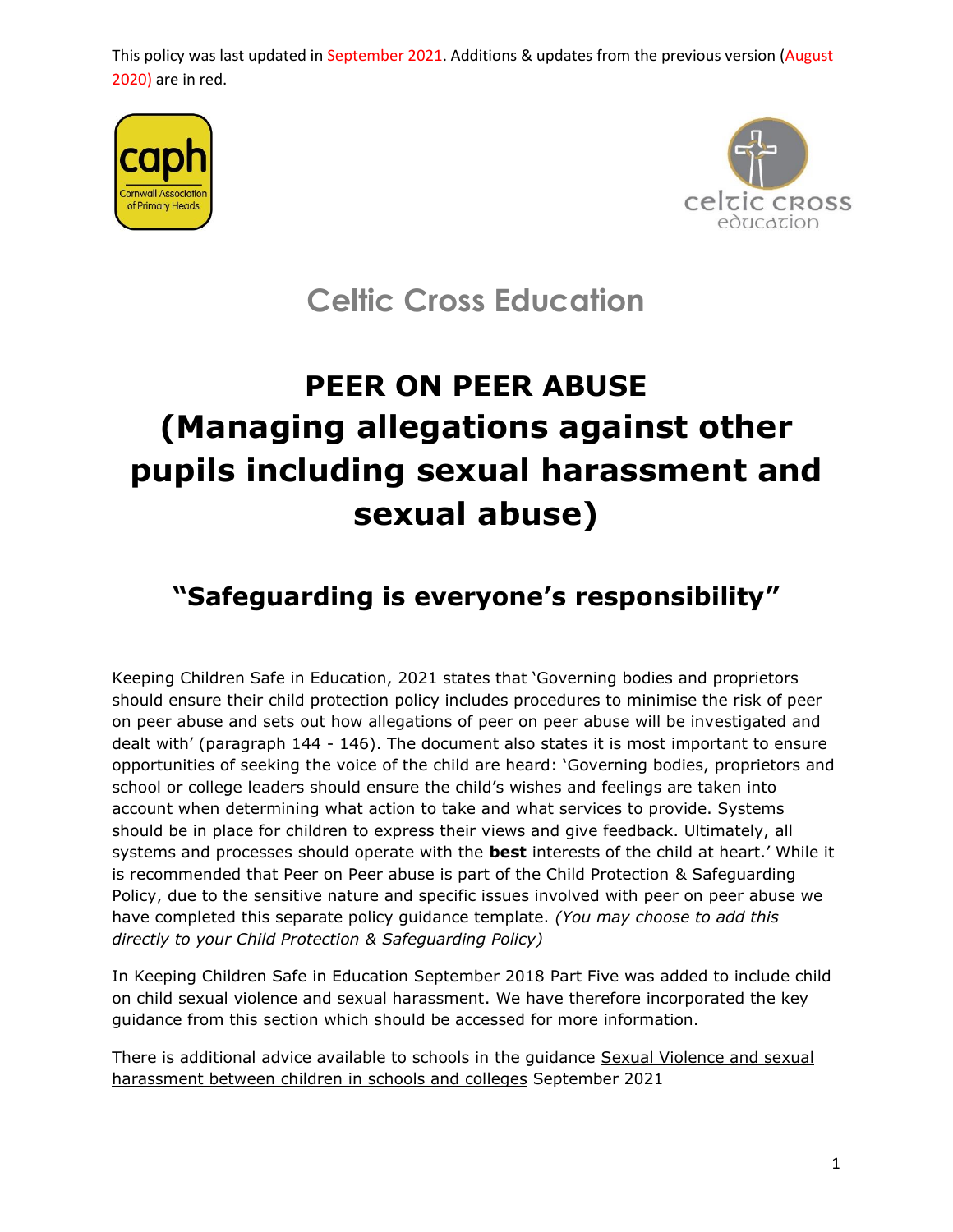This policy was last updated in September 2021. Additions & updates from the previous version (August 2020) are in red.





## **Celtic Cross Education**

# **PEER ON PEER ABUSE (Managing allegations against other pupils including sexual harassment and sexual abuse)**

### **"Safeguarding is everyone's responsibility"**

Keeping Children Safe in Education, 2021 states that 'Governing bodies and proprietors should ensure their child protection policy includes procedures to minimise the risk of peer on peer abuse and sets out how allegations of peer on peer abuse will be investigated and dealt with' (paragraph 144 - 146). The document also states it is most important to ensure opportunities of seeking the voice of the child are heard: 'Governing bodies, proprietors and school or college leaders should ensure the child's wishes and feelings are taken into account when determining what action to take and what services to provide. Systems should be in place for children to express their views and give feedback. Ultimately, all systems and processes should operate with the **best** interests of the child at heart.' While it is recommended that Peer on Peer abuse is part of the Child Protection & Safeguarding Policy, due to the sensitive nature and specific issues involved with peer on peer abuse we have completed this separate policy guidance template. *(You may choose to add this directly to your Child Protection & Safeguarding Policy)*

In Keeping Children Safe in Education September 2018 Part Five was added to include child on child sexual violence and sexual harassment. We have therefore incorporated the key guidance from this section which should be accessed for more information.

There is additional advice available to schools in the guidance **Sexual Violence and sexual** [harassment between children](https://www.gov.uk/government/publications/sexual-violence-and-sexual-harassment-between-children-in-schools-and-colleges) in schools and colleges September 2021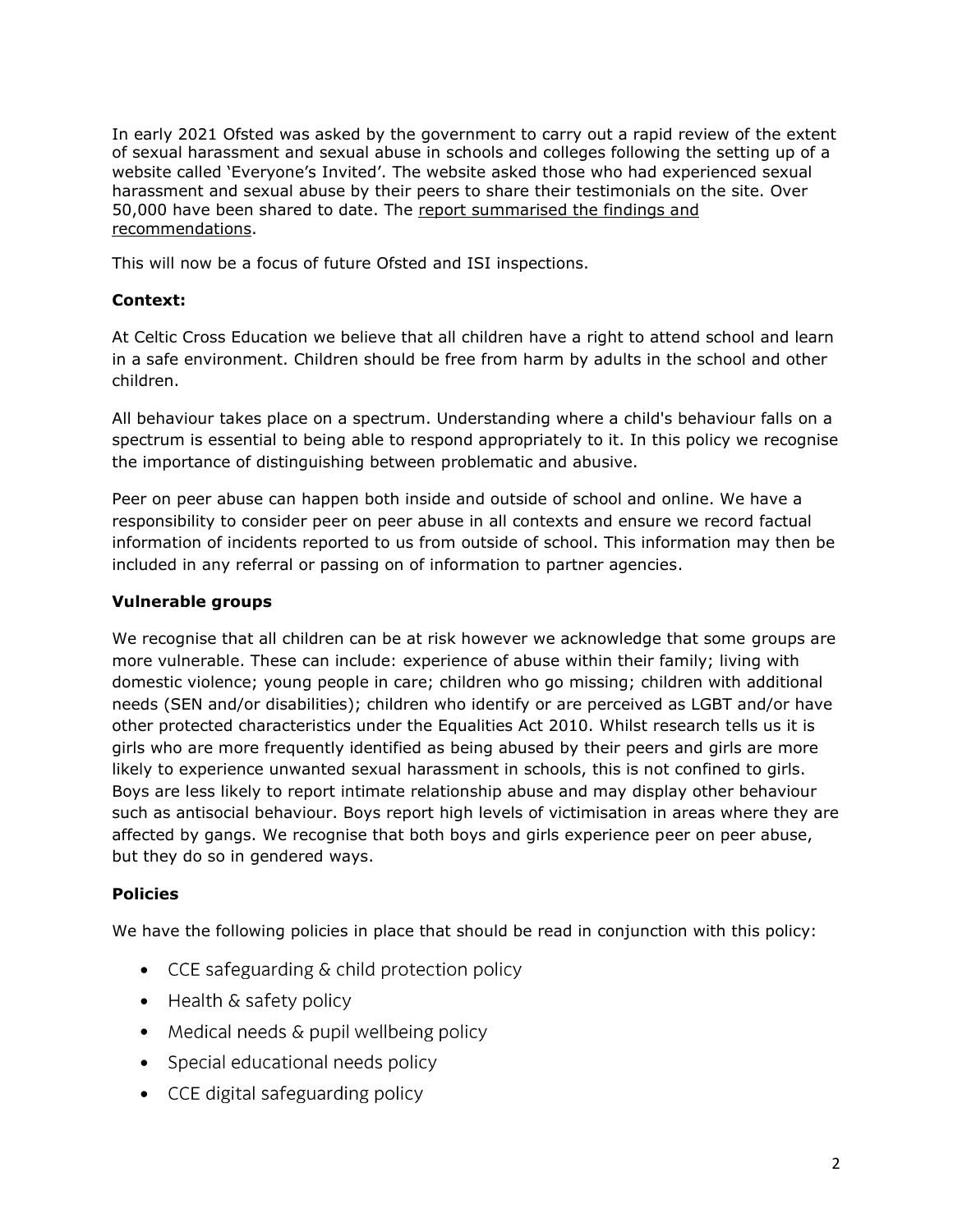In early 2021 Ofsted was asked by the government to carry out a rapid review of the extent of sexual harassment and sexual abuse in schools and colleges following the setting up of a website called 'Everyone's Invited'. The website asked those who had experienced sexual harassment and sexual abuse by their peers to share their testimonials on the site. Over 50,000 have been shared to date. The [report summarised the findings and](https://www.gov.uk/government/publications/review-of-sexual-abuse-in-schools-and-colleges/review-of-sexual-abuse-in-schools-and-colleges) [recommendations.](https://www.gov.uk/government/publications/review-of-sexual-abuse-in-schools-and-colleges/review-of-sexual-abuse-in-schools-and-colleges)

This will now be a focus of future Ofsted and ISI inspections.

#### **Context:**

At Celtic Cross Education we believe that all children have a right to attend school and learn in a safe environment. Children should be free from harm by adults in the school and other children.

All behaviour takes place on a spectrum. Understanding where a child's behaviour falls on a spectrum is essential to being able to respond appropriately to it. In this policy we recognise the importance of distinguishing between problematic and abusive.

Peer on peer abuse can happen both inside and outside of school and online. We have a responsibility to consider peer on peer abuse in all contexts and ensure we record factual information of incidents reported to us from outside of school. This information may then be included in any referral or passing on of information to partner agencies.

#### **Vulnerable groups**

We recognise that all children can be at risk however we acknowledge that some groups are more vulnerable. These can include: experience of abuse within their family; living with domestic violence; young people in care; children who go missing; children with additional needs (SEN and/or disabilities); children who identify or are perceived as LGBT and/or have other protected characteristics under the Equalities Act 2010. Whilst research tells us it is girls who are more frequently identified as being abused by their peers and girls are more likely to experience unwanted sexual harassment in schools, this is not confined to girls. Boys are less likely to report intimate relationship abuse and may display other behaviour such as antisocial behaviour. Boys report high levels of victimisation in areas where they are affected by gangs. We recognise that both boys and girls experience peer on peer abuse, but they do so in gendered ways.

#### **Policies**

We have the following policies in place that should be read in conjunction with this policy:

- CCE safeguarding & child protection policy
- Health & safety policy
- Medical needs & pupil wellbeing policy
- Special educational needs policy
- CCE digital safeguarding policy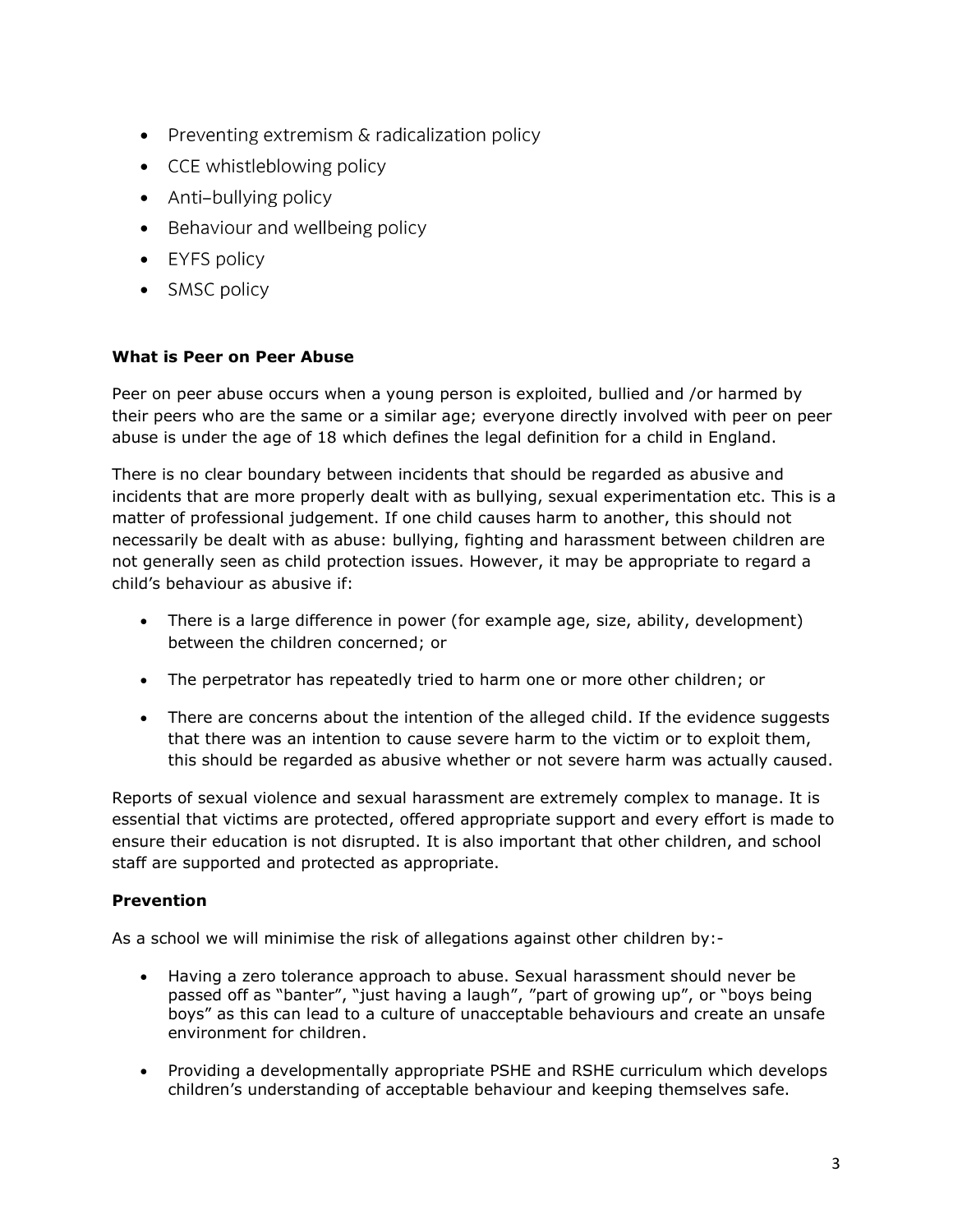- Preventing extremism & radicalization policy
- CCE whistleblowing policy
- Anti-bullying policy
- Behaviour and wellbeing policy
- EYFS policy
- SMSC policy

#### **What is Peer on Peer Abuse**

Peer on peer abuse occurs when a young person is exploited, bullied and /or harmed by their peers who are the same or a similar age; everyone directly involved with peer on peer abuse is under the age of 18 which defines the legal definition for a child in England.

There is no clear boundary between incidents that should be regarded as abusive and incidents that are more properly dealt with as bullying, sexual experimentation etc. This is a matter of professional judgement. If one child causes harm to another, this should not necessarily be dealt with as abuse: bullying, fighting and harassment between children are not generally seen as child protection issues. However, it may be appropriate to regard a child's behaviour as abusive if:

- There is a large difference in power (for example age, size, ability, development) between the children concerned; or
- The perpetrator has repeatedly tried to harm one or more other children; or
- There are concerns about the intention of the alleged child. If the evidence suggests that there was an intention to cause severe harm to the victim or to exploit them, this should be regarded as abusive whether or not severe harm was actually caused.

Reports of sexual violence and sexual harassment are extremely complex to manage. It is essential that victims are protected, offered appropriate support and every effort is made to ensure their education is not disrupted. It is also important that other children, and school staff are supported and protected as appropriate.

#### **Prevention**

As a school we will minimise the risk of allegations against other children by:-

- Having a zero tolerance approach to abuse. Sexual harassment should never be passed off as "banter", "just having a laugh", "part of growing up", or "boys being boys" as this can lead to a culture of unacceptable behaviours and create an unsafe environment for children.
- Providing a developmentally appropriate PSHE and RSHE curriculum which develops children's understanding of acceptable behaviour and keeping themselves safe.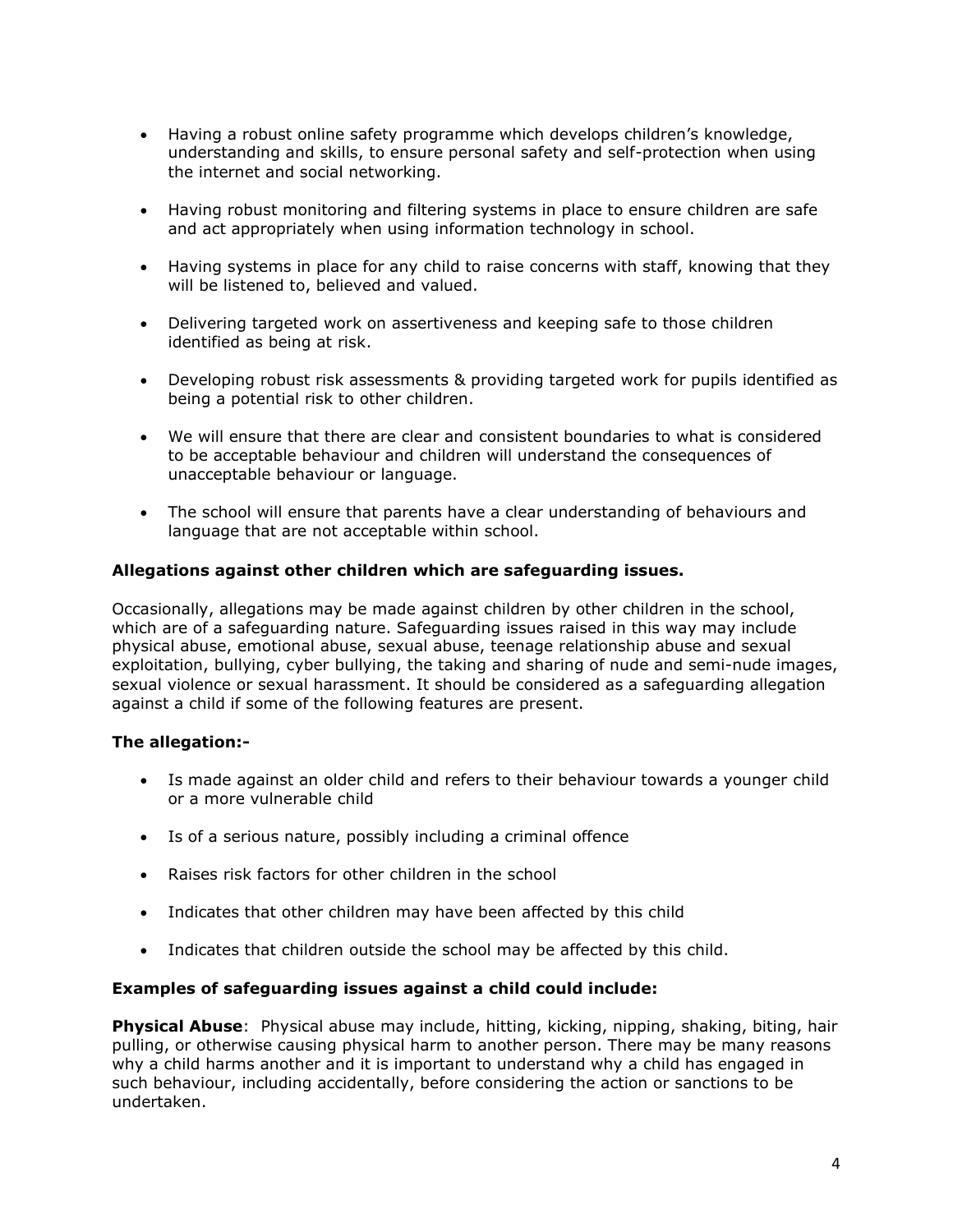- Having a robust online safety programme which develops children's knowledge, understanding and skills, to ensure personal safety and self-protection when using the internet and social networking.
- Having robust monitoring and filtering systems in place to ensure children are safe and act appropriately when using information technology in school.
- Having systems in place for any child to raise concerns with staff, knowing that they will be listened to, believed and valued.
- Delivering targeted work on assertiveness and keeping safe to those children identified as being at risk.
- Developing robust risk assessments & providing targeted work for pupils identified as being a potential risk to other children.
- We will ensure that there are clear and consistent boundaries to what is considered to be acceptable behaviour and children will understand the consequences of unacceptable behaviour or language.
- The school will ensure that parents have a clear understanding of behaviours and language that are not acceptable within school.

#### **Allegations against other children which are safeguarding issues.**

Occasionally, allegations may be made against children by other children in the school, which are of a safeguarding nature. Safeguarding issues raised in this way may include physical abuse, emotional abuse, sexual abuse, teenage relationship abuse and sexual exploitation, bullying, cyber bullying, the taking and sharing of nude and semi-nude images, sexual violence or sexual harassment. It should be considered as a safeguarding allegation against a child if some of the following features are present.

#### **The allegation:-**

- Is made against an older child and refers to their behaviour towards a younger child or a more vulnerable child
- Is of a serious nature, possibly including a criminal offence
- Raises risk factors for other children in the school
- Indicates that other children may have been affected by this child
- Indicates that children outside the school may be affected by this child.

#### **Examples of safeguarding issues against a child could include:**

**Physical Abuse**: Physical abuse may include, hitting, kicking, nipping, shaking, biting, hair pulling, or otherwise causing physical harm to another person. There may be many reasons why a child harms another and it is important to understand why a child has engaged in such behaviour, including accidentally, before considering the action or sanctions to be undertaken.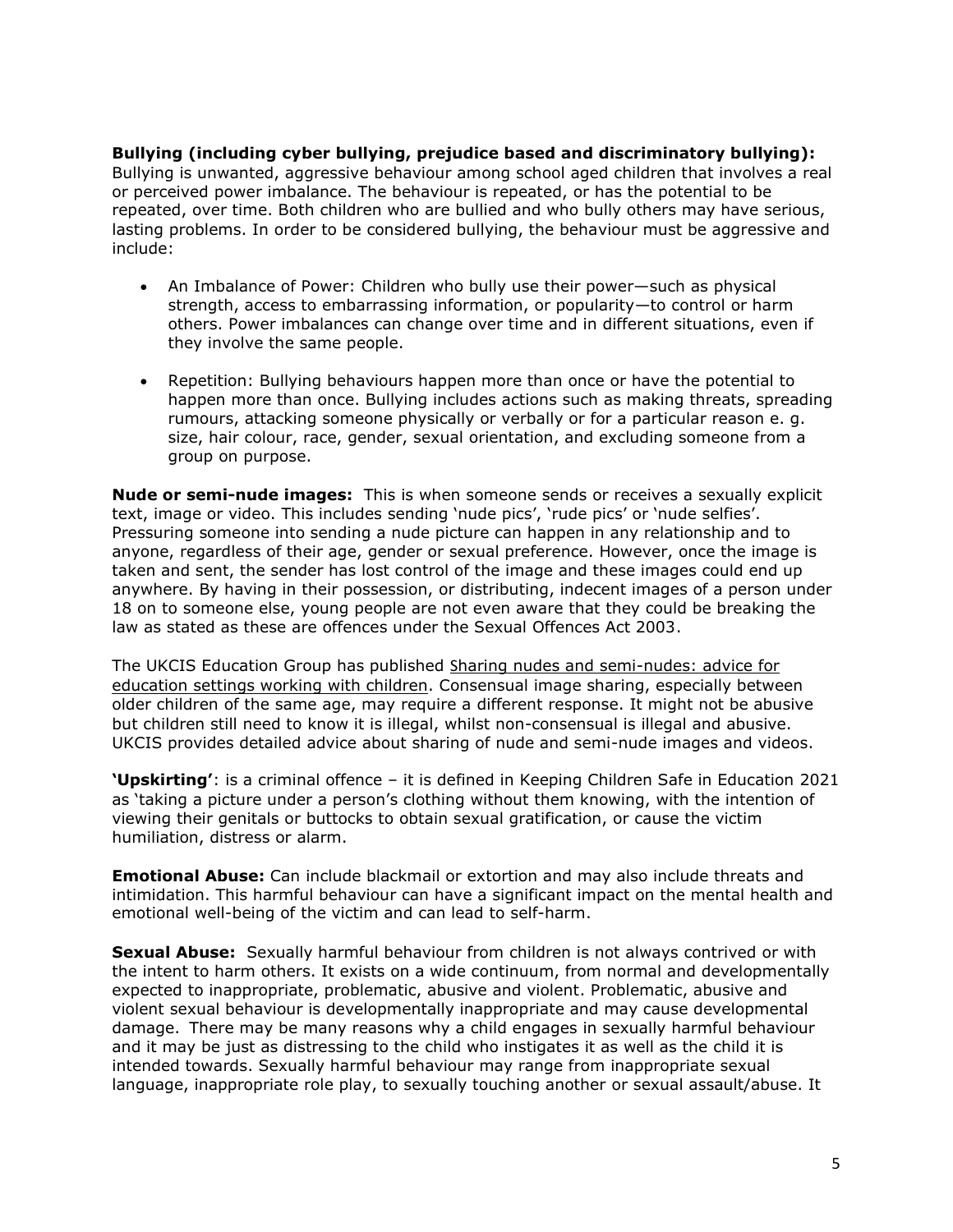**Bullying (including cyber bullying, prejudice based and discriminatory bullying):** Bullying is unwanted, aggressive behaviour among school aged children that involves a real or perceived power imbalance. The behaviour is repeated, or has the potential to be repeated, over time. Both children who are bullied and who bully others may have serious, lasting problems. In order to be considered bullying, the behaviour must be aggressive and include:

- An Imbalance of Power: Children who bully use their power—such as physical strength, access to embarrassing information, or popularity—to control or harm others. Power imbalances can change over time and in different situations, even if they involve the same people.
- Repetition: Bullying behaviours happen more than once or have the potential to happen more than once. Bullying includes actions such as making threats, spreading rumours, attacking someone physically or verbally or for a particular reason e. g. size, hair colour, race, gender, sexual orientation, and excluding someone from a group on purpose.

**Nude or semi-nude images:** This is when someone sends or receives a sexually explicit text, image or video. This includes sending 'nude pics', 'rude pics' or 'nude selfies'. Pressuring someone into sending a nude picture can happen in any relationship and to anyone, regardless of their age, gender or sexual preference. However, once the image is taken and sent, the sender has lost control of the image and these images could end up anywhere. By having in their possession, or distributing, indecent images of a person under 18 on to someone else, young people are not even aware that they could be breaking the law as stated as these are offences under the Sexual Offences Act 2003.

The UKCIS Education Group has published S[haring nudes and semi-nudes: advice for](https://www.gov.uk/government/publications/sharing-nudes-and-semi-nudes-advice-for-education-settings-working-with-children-and-young-people/sharing-nudes-and-semi-nudes-advice-for-education-settings-working-with-children-and-young-people)  [education settings working with children.](https://www.gov.uk/government/publications/sharing-nudes-and-semi-nudes-advice-for-education-settings-working-with-children-and-young-people/sharing-nudes-and-semi-nudes-advice-for-education-settings-working-with-children-and-young-people) Consensual image sharing, especially between older children of the same age, may require a different response. It might not be abusive but children still need to know it is illegal, whilst non-consensual is illegal and abusive. UKCIS provides detailed advice about sharing of nude and semi-nude images and videos.

**'Upskirting'**: is a criminal offence – it is defined in Keeping Children Safe in Education 2021 as 'taking a picture under a person's clothing without them knowing, with the intention of viewing their genitals or buttocks to obtain sexual gratification, or cause the victim humiliation, distress or alarm.

**Emotional Abuse:** Can include blackmail or extortion and may also include threats and intimidation. This harmful behaviour can have a significant impact on the mental health and emotional well-being of the victim and can lead to self-harm.

**Sexual Abuse:** Sexually harmful behaviour from children is not always contrived or with the intent to harm others. It exists on a wide continuum, from normal and developmentally expected to inappropriate, problematic, abusive and violent. Problematic, abusive and violent sexual behaviour is developmentally inappropriate and may cause developmental damage. There may be many reasons why a child engages in sexually harmful behaviour and it may be just as distressing to the child who instigates it as well as the child it is intended towards. Sexually harmful behaviour may range from inappropriate sexual language, inappropriate role play, to sexually touching another or sexual assault/abuse. It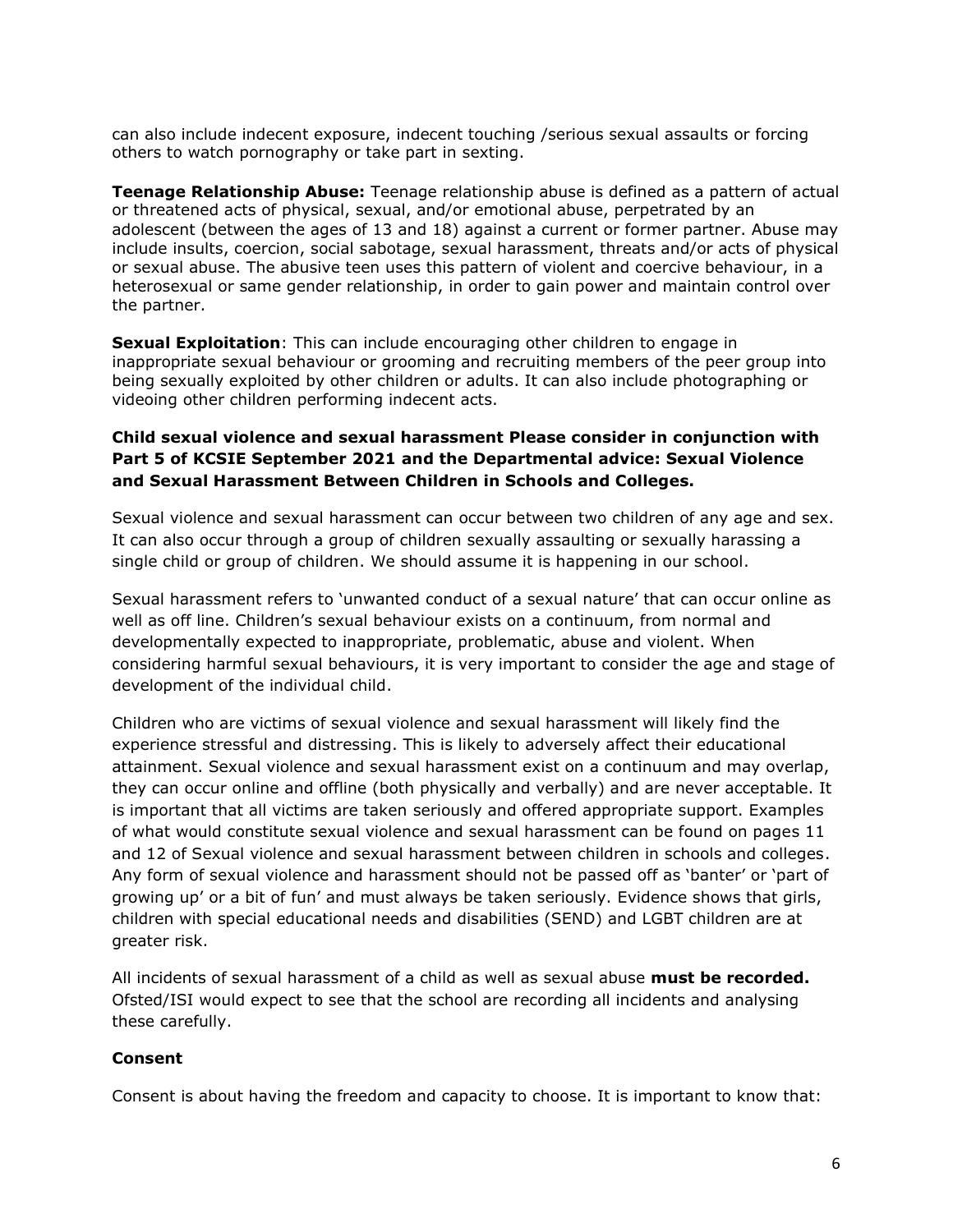can also include indecent exposure, indecent touching /serious sexual assaults or forcing others to watch pornography or take part in sexting.

**Teenage Relationship Abuse:** Teenage relationship abuse is defined as a pattern of actual or threatened acts of physical, sexual, and/or emotional abuse, perpetrated by an adolescent (between the ages of 13 and 18) against a current or former partner. Abuse may include insults, coercion, social sabotage, sexual harassment, threats and/or acts of physical or sexual abuse. The abusive teen uses this pattern of violent and coercive behaviour, in a heterosexual or same gender relationship, in order to gain power and maintain control over the partner.

**Sexual Exploitation**: This can include encouraging other children to engage in inappropriate sexual behaviour or grooming and recruiting members of the peer group into being sexually exploited by other children or adults. It can also include photographing or videoing other children performing indecent acts.

#### **Child sexual violence and sexual harassment Please consider in conjunction with Part 5 of KCSIE September 2021 and the Departmental advice: Sexual Violence and Sexual Harassment Between Children in Schools and Colleges.**

Sexual violence and sexual harassment can occur between two children of any age and sex. It can also occur through a group of children sexually assaulting or sexually harassing a single child or group of children. We should assume it is happening in our school.

Sexual harassment refers to 'unwanted conduct of a sexual nature' that can occur online as well as off line. Children's sexual behaviour exists on a continuum, from normal and developmentally expected to inappropriate, problematic, abuse and violent. When considering harmful sexual behaviours, it is very important to consider the age and stage of development of the individual child.

Children who are victims of sexual violence and sexual harassment will likely find the experience stressful and distressing. This is likely to adversely affect their educational attainment. Sexual violence and sexual harassment exist on a continuum and may overlap, they can occur online and offline (both physically and verbally) and are never acceptable. It is important that all victims are taken seriously and offered appropriate support. Examples of what would constitute sexual violence and sexual harassment can be found on pages 11 and 12 of Sexual violence and sexual harassment between children in schools and colleges. Any form of sexual violence and harassment should not be passed off as 'banter' or 'part of growing up' or a bit of fun' and must always be taken seriously. Evidence shows that girls, children with special educational needs and disabilities (SEND) and LGBT children are at greater risk.

All incidents of sexual harassment of a child as well as sexual abuse **must be recorded.** Ofsted/ISI would expect to see that the school are recording all incidents and analysing these carefully.

#### **Consent**

Consent is about having the freedom and capacity to choose. It is important to know that: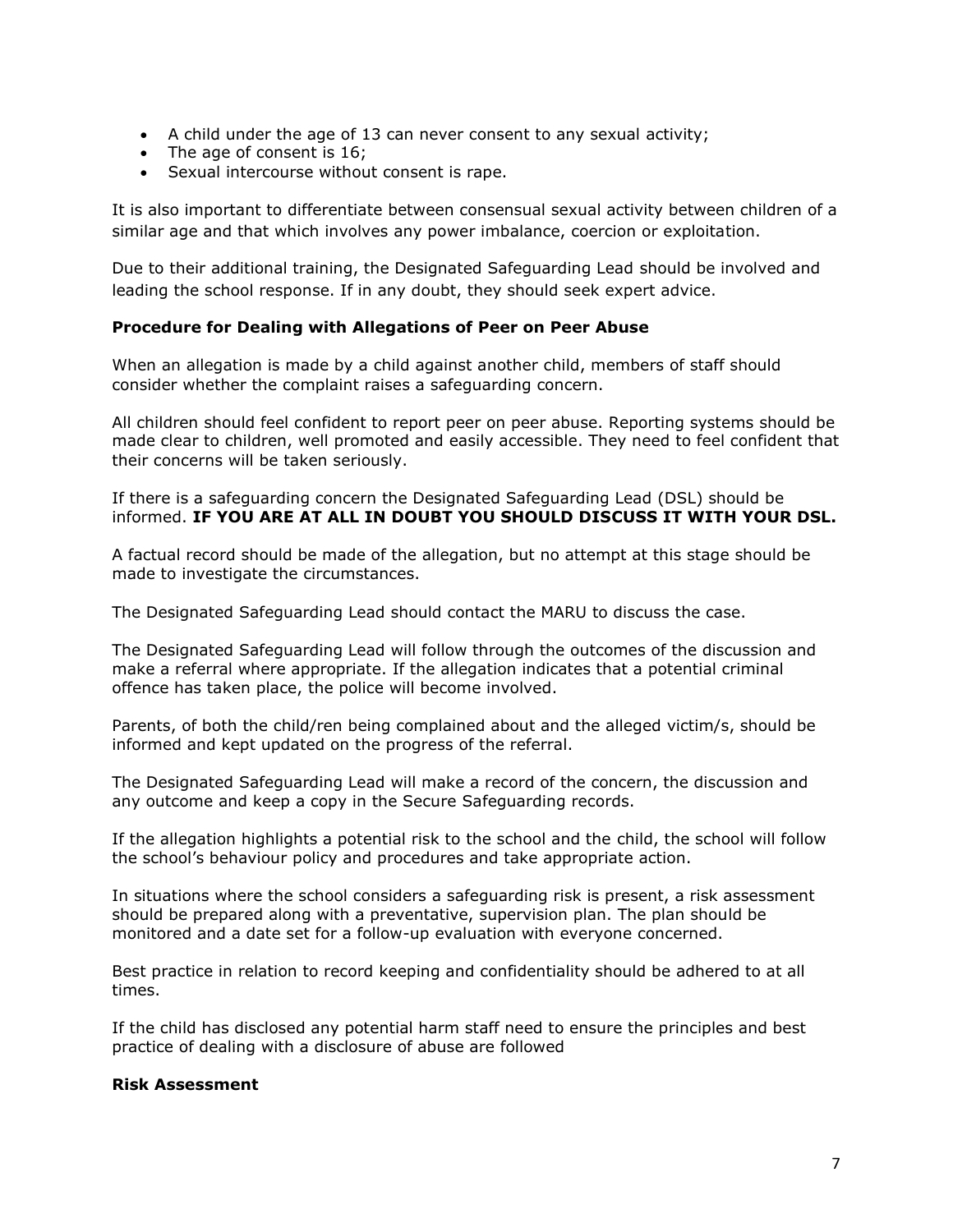- A child under the age of 13 can never consent to any sexual activity;
- The age of consent is 16;
- Sexual intercourse without consent is rape.

It is also important to differentiate between consensual sexual activity between children of a similar age and that which involves any power imbalance, coercion or exploitation.

Due to their additional training, the Designated Safeguarding Lead should be involved and leading the school response. If in any doubt, they should seek expert advice.

#### **Procedure for Dealing with Allegations of Peer on Peer Abuse**

When an allegation is made by a child against another child, members of staff should consider whether the complaint raises a safeguarding concern.

All children should feel confident to report peer on peer abuse. Reporting systems should be made clear to children, well promoted and easily accessible. They need to feel confident that their concerns will be taken seriously.

If there is a safeguarding concern the Designated Safeguarding Lead (DSL) should be informed. **IF YOU ARE AT ALL IN DOUBT YOU SHOULD DISCUSS IT WITH YOUR DSL.**

A factual record should be made of the allegation, but no attempt at this stage should be made to investigate the circumstances.

The Designated Safeguarding Lead should contact the MARU to discuss the case.

The Designated Safeguarding Lead will follow through the outcomes of the discussion and make a referral where appropriate. If the allegation indicates that a potential criminal offence has taken place, the police will become involved.

Parents, of both the child/ren being complained about and the alleged victim/s, should be informed and kept updated on the progress of the referral.

The Designated Safeguarding Lead will make a record of the concern, the discussion and any outcome and keep a copy in the Secure Safeguarding records.

If the allegation highlights a potential risk to the school and the child, the school will follow the school's behaviour policy and procedures and take appropriate action.

In situations where the school considers a safeguarding risk is present, a risk assessment should be prepared along with a preventative, supervision plan. The plan should be monitored and a date set for a follow-up evaluation with everyone concerned.

Best practice in relation to record keeping and confidentiality should be adhered to at all times.

If the child has disclosed any potential harm staff need to ensure the principles and best practice of dealing with a disclosure of abuse are followed

#### **Risk Assessment**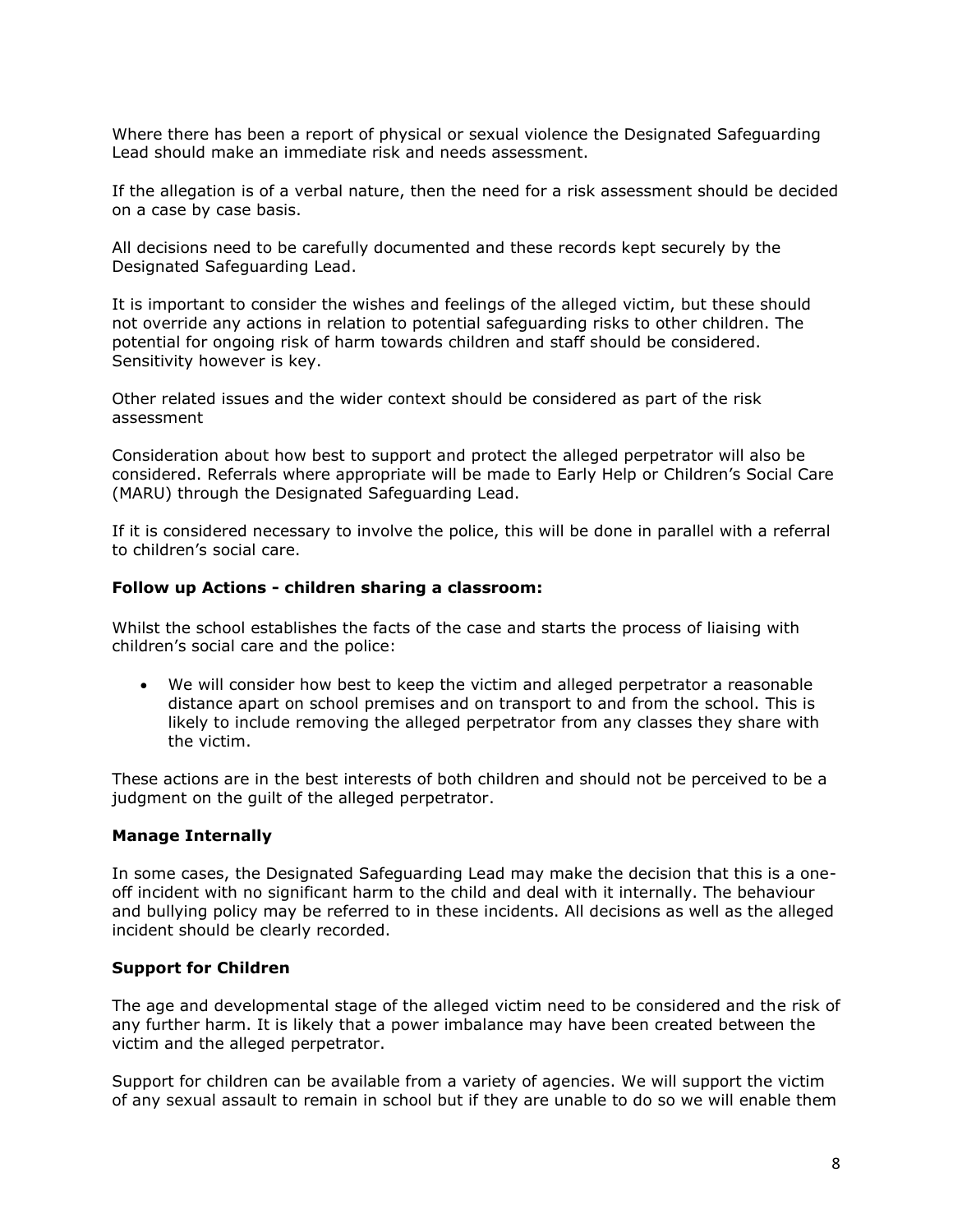Where there has been a report of physical or sexual violence the Designated Safeguarding Lead should make an immediate risk and needs assessment.

If the allegation is of a verbal nature, then the need for a risk assessment should be decided on a case by case basis.

All decisions need to be carefully documented and these records kept securely by the Designated Safeguarding Lead.

It is important to consider the wishes and feelings of the alleged victim, but these should not override any actions in relation to potential safeguarding risks to other children. The potential for ongoing risk of harm towards children and staff should be considered. Sensitivity however is key.

Other related issues and the wider context should be considered as part of the risk assessment

Consideration about how best to support and protect the alleged perpetrator will also be considered. Referrals where appropriate will be made to Early Help or Children's Social Care (MARU) through the Designated Safeguarding Lead.

If it is considered necessary to involve the police, this will be done in parallel with a referral to children's social care.

#### **Follow up Actions - children sharing a classroom:**

Whilst the school establishes the facts of the case and starts the process of liaising with children's social care and the police:

• We will consider how best to keep the victim and alleged perpetrator a reasonable distance apart on school premises and on transport to and from the school. This is likely to include removing the alleged perpetrator from any classes they share with the victim.

These actions are in the best interests of both children and should not be perceived to be a judgment on the guilt of the alleged perpetrator.

#### **Manage Internally**

In some cases, the Designated Safeguarding Lead may make the decision that this is a oneoff incident with no significant harm to the child and deal with it internally. The behaviour and bullying policy may be referred to in these incidents. All decisions as well as the alleged incident should be clearly recorded.

#### **Support for Children**

The age and developmental stage of the alleged victim need to be considered and the risk of any further harm. It is likely that a power imbalance may have been created between the victim and the alleged perpetrator.

Support for children can be available from a variety of agencies. We will support the victim of any sexual assault to remain in school but if they are unable to do so we will enable them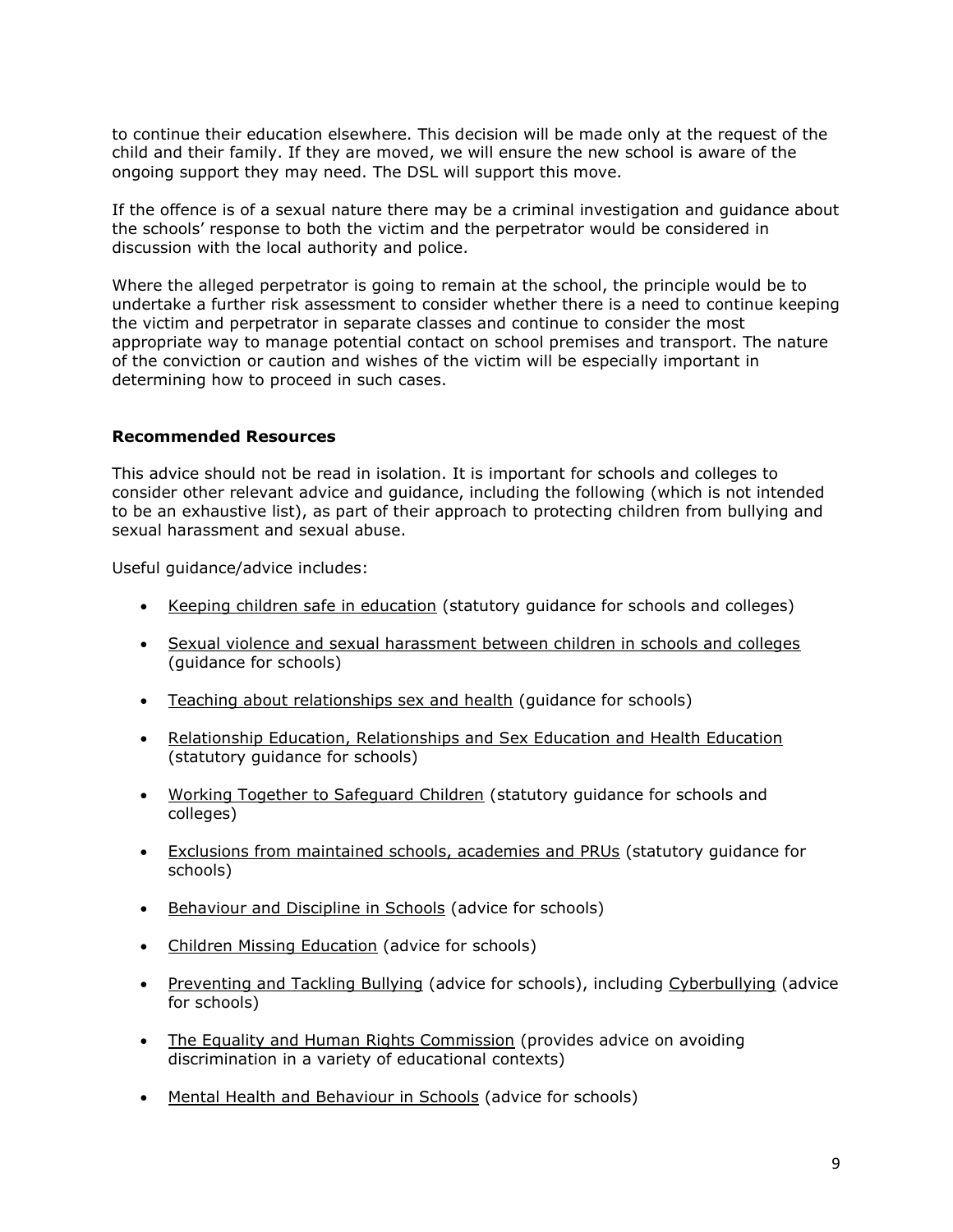to continue their education elsewhere. This decision will be made only at the request of the child and their family. If they are moved, we will ensure the new school is aware of the ongoing support they may need. The DSL will support this move.

If the offence is of a sexual nature there may be a criminal investigation and guidance about the schools' response to both the victim and the perpetrator would be considered in discussion with the local authority and police.

Where the alleged perpetrator is going to remain at the school, the principle would be to undertake a further risk assessment to consider whether there is a need to continue keeping the victim and perpetrator in separate classes and continue to consider the most appropriate way to manage potential contact on school premises and transport. The nature of the conviction or caution and wishes of the victim will be especially important in determining how to proceed in such cases.

#### **Recommended Resources**

This advice should not be read in isolation. It is important for schools and colleges to consider other relevant advice and guidance, including the following (which is not intended to be an exhaustive list), as part of their approach to protecting children from bullying and sexual harassment and sexual abuse.

Useful guidance/advice includes:

- [Keeping children safe in education](https://www.gov.uk/government/publications/keeping-children-safe-in-education--2) (statutory guidance for schools and colleges)
- [Sexual violence and sexual harassment between children in schools and colleges](https://www.gov.uk/government/publications/sexual-violence-and-sexual-harassment-between-children-in-schools-and-colleges) (guidance for schools)
- [Teaching about relationships sex and health](https://www.gov.uk/guidance/teaching-about-relationships-sex-and-health) (guidance for schools)
- [Relationship Education, Relationships and Sex Education and Health Education](https://www.gov.uk/government/publications/relationships-education-relationships-and-sex-education-rse-and-health-education) (statutory guidance for schools)
- [Working Together to Safeguard Children](https://www.gov.uk/government/publications/working-together-to-safeguard-children--2) (statutory guidance for schools and colleges)
- [Exclusions from maintained schools, academies and PRUs](https://www.gov.uk/government/publications/school-exclusion) (statutory guidance for schools)
- [Behaviour and Discipline in Schools](https://www.gov.uk/government/publications/behaviour-and-discipline-in-schools) (advice for schools)
- [Children Missing Education](https://www.gov.uk/government/publications/children-missing-education) (advice for schools)
- [Preventing and Tackling Bullying](https://www.gov.uk/government/publications/preventing-and-tackling-bullying) (advice for schools), including [Cyberbullying](https://assets.publishing.service.gov.uk/government/uploads/system/uploads/attachment_data/file/374850/Cyberbullying_Advice_for_Headteachers_and_School_Staff_121114.pdf) (advice for schools)
- [The Equality and Human Rights Commission](https://www.equalityhumanrights.com/en/advice-and-guidance) (provides advice on avoiding discrimination in a variety of educational contexts)
- [Mental Health and Behaviour in Schools](https://www.gov.uk/government/publications/mental-health-and-behaviour-in-schools--2) (advice for schools)